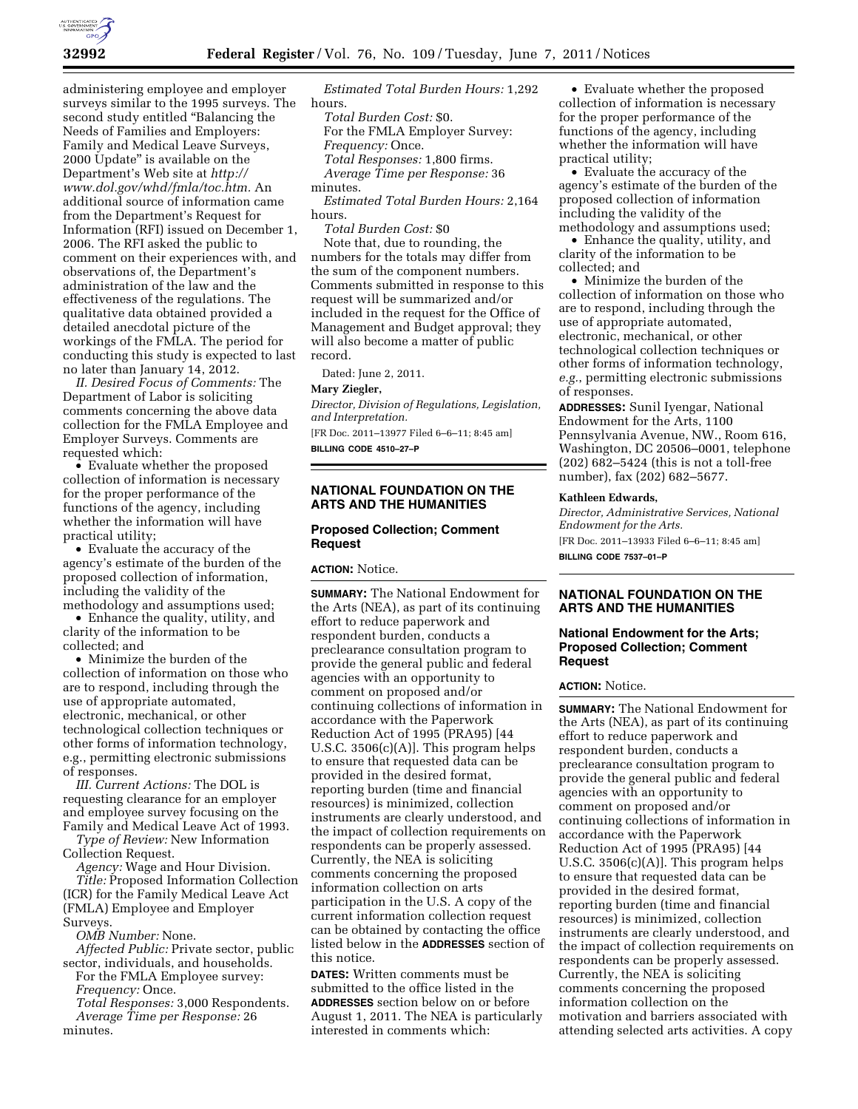

administering employee and employer surveys similar to the 1995 surveys. The second study entitled "Balancing the Needs of Families and Employers: Family and Medical Leave Surveys, 2000 Update'' is available on the Department's Web site at *[http://](http://www.dol.gov/whd/fmla/toc.htm)  [www.dol.gov/whd/fmla/toc.htm.](http://www.dol.gov/whd/fmla/toc.htm)* An additional source of information came from the Department's Request for Information (RFI) issued on December 1, 2006. The RFI asked the public to comment on their experiences with, and observations of, the Department's administration of the law and the effectiveness of the regulations. The qualitative data obtained provided a detailed anecdotal picture of the workings of the FMLA. The period for conducting this study is expected to last no later than January 14, 2012.

*II. Desired Focus of Comments:* The Department of Labor is soliciting comments concerning the above data collection for the FMLA Employee and Employer Surveys. Comments are requested which:

• Evaluate whether the proposed collection of information is necessary for the proper performance of the functions of the agency, including whether the information will have practical utility;

• Evaluate the accuracy of the agency's estimate of the burden of the proposed collection of information, including the validity of the methodology and assumptions used;

• Enhance the quality, utility, and clarity of the information to be collected; and

• Minimize the burden of the collection of information on those who are to respond, including through the use of appropriate automated, electronic, mechanical, or other technological collection techniques or other forms of information technology, e.g., permitting electronic submissions of responses.

*III. Current Actions:* The DOL is requesting clearance for an employer and employee survey focusing on the Family and Medical Leave Act of 1993.

*Type of Review:* New Information Collection Request.

*Agency:* Wage and Hour Division. *Title:* Proposed Information Collection (ICR) for the Family Medical Leave Act (FMLA) Employee and Employer Surveys.

*OMB Number:* None.

*Affected Public:* Private sector, public sector, individuals, and households.

For the FMLA Employee survey: *Frequency:* Once.

*Total Responses:* 3,000 Respondents. *Average Time per Response:* 26 minutes.

*Estimated Total Burden Hours:* 1,292 hours.

*Total Burden Cost:* \$0. For the FMLA Employer Survey: *Frequency:* Once. *Total Responses:* 1,800 firms. *Average Time per Response:* 36 minutes.

*Estimated Total Burden Hours:* 2,164 hours.

*Total Burden Cost:* \$0 Note that, due to rounding, the numbers for the totals may differ from the sum of the component numbers. Comments submitted in response to this request will be summarized and/or included in the request for the Office of Management and Budget approval; they will also become a matter of public record.

Dated: June 2, 2011.

### **Mary Ziegler,**

*Director, Division of Regulations, Legislation, and Interpretation.* 

[FR Doc. 2011–13977 Filed 6–6–11; 8:45 am]

**BILLING CODE 4510–27–P** 

## **NATIONAL FOUNDATION ON THE ARTS AND THE HUMANITIES**

# **Proposed Collection; Comment Request**

**ACTION:** Notice.

**SUMMARY:** The National Endowment for the Arts (NEA), as part of its continuing effort to reduce paperwork and respondent burden, conducts a preclearance consultation program to provide the general public and federal agencies with an opportunity to comment on proposed and/or continuing collections of information in accordance with the Paperwork Reduction Act of 1995 (PRA95) [44 U.S.C. 3506(c)(A)]. This program helps to ensure that requested data can be provided in the desired format, reporting burden (time and financial resources) is minimized, collection instruments are clearly understood, and the impact of collection requirements on respondents can be properly assessed. Currently, the NEA is soliciting comments concerning the proposed information collection on arts participation in the U.S. A copy of the current information collection request can be obtained by contacting the office listed below in the **ADDRESSES** section of this notice.

**DATES:** Written comments must be submitted to the office listed in the **ADDRESSES** section below on or before August 1, 2011. The NEA is particularly interested in comments which:

• Evaluate whether the proposed collection of information is necessary for the proper performance of the functions of the agency, including whether the information will have practical utility;

• Evaluate the accuracy of the agency's estimate of the burden of the proposed collection of information including the validity of the methodology and assumptions used;

• Enhance the quality, utility, and clarity of the information to be collected; and

• Minimize the burden of the collection of information on those who are to respond, including through the use of appropriate automated, electronic, mechanical, or other technological collection techniques or other forms of information technology, *e.g.*, permitting electronic submissions of responses.

**ADDRESSES:** Sunil Iyengar, National Endowment for the Arts, 1100 Pennsylvania Avenue, NW., Room 616, Washington, DC 20506–0001, telephone (202) 682–5424 (this is not a toll-free number), fax (202) 682–5677.

### **Kathleen Edwards,**

*Director, Administrative Services, National Endowment for the Arts.*  [FR Doc. 2011–13933 Filed 6–6–11; 8:45 am] **BILLING CODE 7537–01–P** 

# **NATIONAL FOUNDATION ON THE ARTS AND THE HUMANITIES**

## **National Endowment for the Arts; Proposed Collection; Comment Request**

## **ACTION:** Notice.

**SUMMARY:** The National Endowment for the Arts (NEA), as part of its continuing effort to reduce paperwork and respondent burden, conducts a preclearance consultation program to provide the general public and federal agencies with an opportunity to comment on proposed and/or continuing collections of information in accordance with the Paperwork Reduction Act of 1995 (PRA95) [44 U.S.C. 3506(c)(A)]. This program helps to ensure that requested data can be provided in the desired format, reporting burden (time and financial resources) is minimized, collection instruments are clearly understood, and the impact of collection requirements on respondents can be properly assessed. Currently, the NEA is soliciting comments concerning the proposed information collection on the motivation and barriers associated with attending selected arts activities. A copy